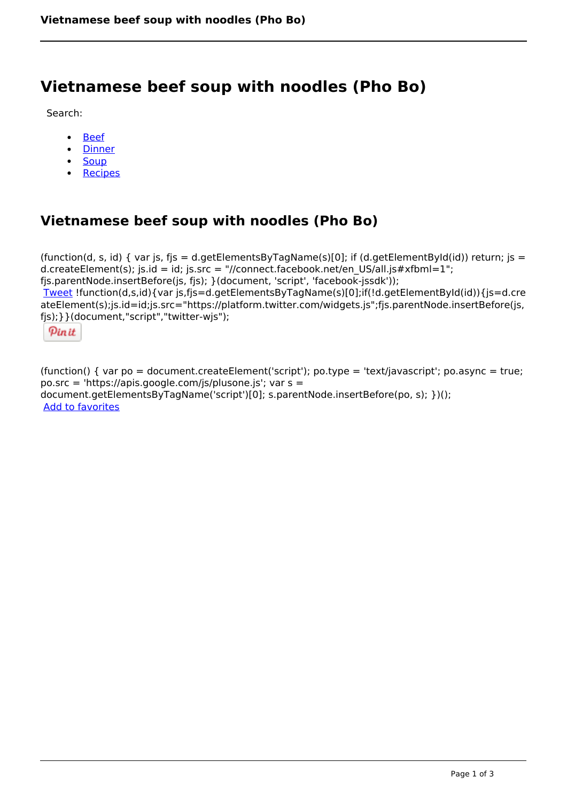# **Vietnamese beef soup with noodles (Pho Bo)**

Search:

- [Beef](https://www.naturalhealthmag.com.au/nourish/beef)  $\bullet$
- [Dinner](https://www.naturalhealthmag.com.au/nourish/dinner-ideas)
- [Soup](https://www.naturalhealthmag.com.au/nourish/soup)
- [Recipes](https://www.naturalhealthmag.com.au/nourish/recipes)

## **Vietnamese beef soup with noodles (Pho Bo)**

(function(d, s, id) { var js, fjs = d.getElementsByTagName(s)[0]; if (d.getElementById(id)) return; js = d.createElement(s); js.id = id; js.src = "//connect.facebook.net/en\_US/all.js#xfbml=1"; fjs.parentNode.insertBefore(js, fjs); }(document, 'script', 'facebook-jssdk')); [Tweet](https://twitter.com/share) !function(d,s,id){var js,fjs=d.getElementsByTagName(s)[0];if(!d.getElementById(id)){js=d.cre ateElement(s);js.id=id;js.src="https://platform.twitter.com/widgets.js";fjs.parentNode.insertBefore(js, fjs);}}(document,"script","twitter-wjs");

Pinit

(function() { var po = document.createElement('script'); po.type = 'text/javascript'; po.async = true; po.src = 'https://apis.google.com/js/plusone.js'; var s = document.getElementsByTagName('script')[0]; s.parentNode.insertBefore(po, s); })(); Add to favorites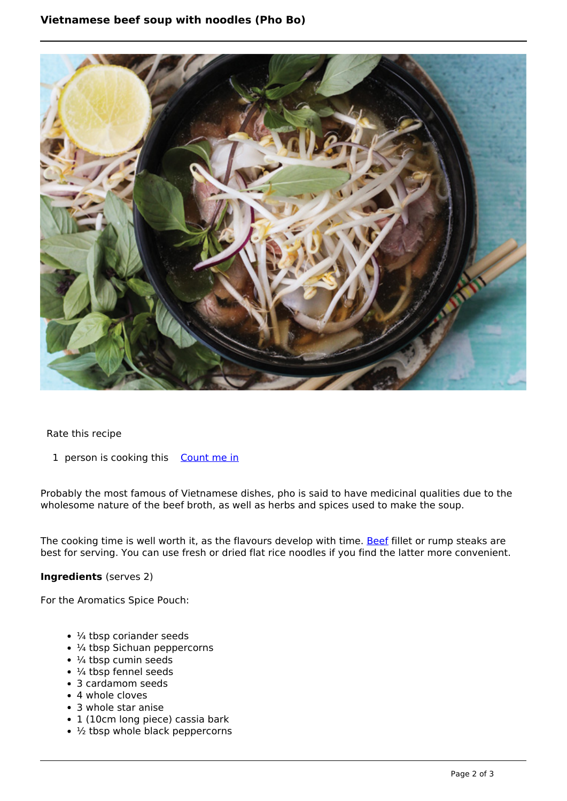### **Vietnamese beef soup with noodles (Pho Bo)**



Rate this recipe

1 person is cooking this [Count me in](https://www.naturalhealthmag.com.au/flag/flag/favorites/1305?destination=printpdf%2F1305&token=d449f9f812076ebb26f85f68e6e6ab76)

Probably the most famous of Vietnamese dishes, pho is said to have medicinal qualities due to the wholesome nature of the beef broth, as well as herbs and spices used to make the soup.

The cooking time is well worth it, as the flavours develop with time. [Beef](http://www.naturalhealthmag.com.au/nourish/beef) fillet or rump steaks are best for serving. You can use fresh or dried flat rice noodles if you find the latter more convenient.

#### **Ingredients** (serves 2)

For the Aromatics Spice Pouch:

- 1/4 tbsp coriander seeds
- ¼ tbsp Sichuan peppercorns
- $\cdot$   $\frac{1}{4}$  tbsp cumin seeds
- $\cdot$  ¼ tbsp fennel seeds
- 3 cardamom seeds
- 4 whole cloves
- 3 whole star anise
- 1 (10cm long piece) cassia bark
- $\cdot$   $\frac{1}{2}$  tbsp whole black peppercorns